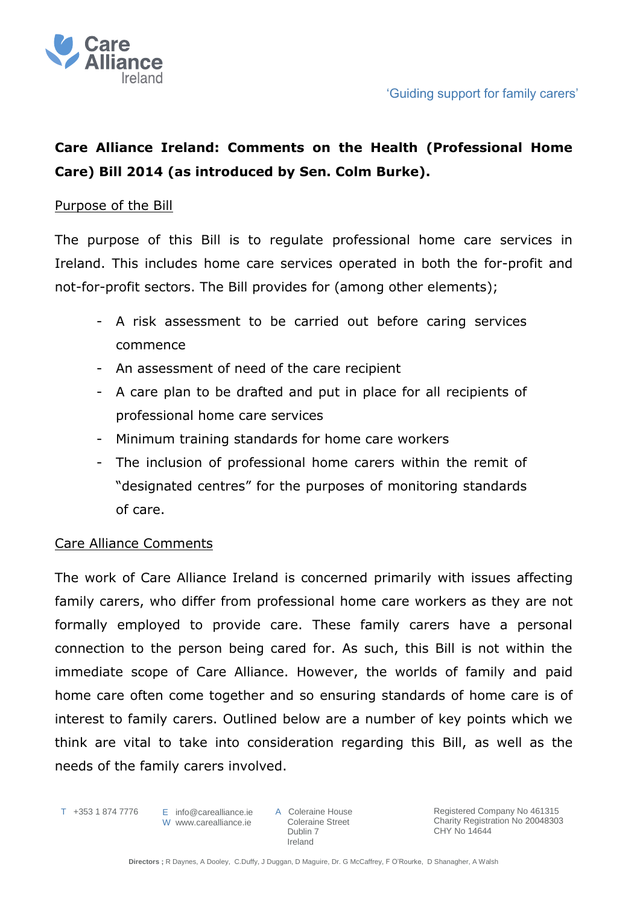

# **Care Alliance Ireland: Comments on the Health (Professional Home Care) Bill 2014 (as introduced by Sen. Colm Burke).**

# Purpose of the Bill

The purpose of this Bill is to regulate professional home care services in Ireland. This includes home care services operated in both the for-profit and not-for-profit sectors. The Bill provides for (among other elements);

- A risk assessment to be carried out before caring services commence
- An assessment of need of the care recipient
- A care plan to be drafted and put in place for all recipients of professional home care services
- Minimum training standards for home care workers
- The inclusion of professional home carers within the remit of "designated centres" for the purposes of monitoring standards of care.

# Care Alliance Comments

The work of Care Alliance Ireland is concerned primarily with issues affecting family carers, who differ from professional home care workers as they are not formally employed to provide care. These family carers have a personal connection to the person being cared for. As such, this Bill is not within the immediate scope of Care Alliance. However, the worlds of family and paid home care often come together and so ensuring standards of home care is of interest to family carers. Outlined below are a number of key points which we think are vital to take into consideration regarding this Bill, as well as the needs of the family carers involved.

T +353 1 874 7776

E info@carealliance.ie W www.carealliance.ie A Coleraine House Coleraine Street Dublin 7 Ireland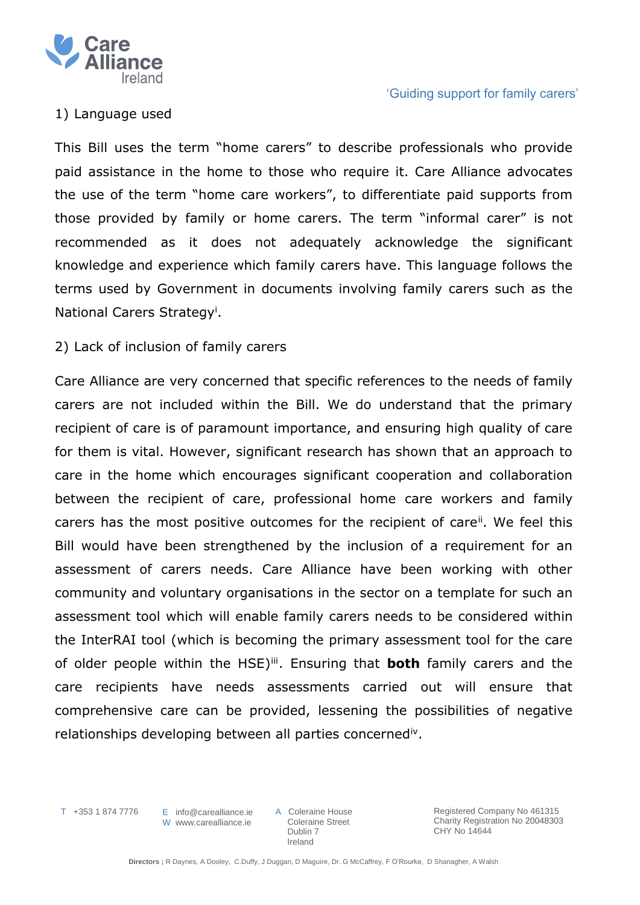

# 1) Language used

This Bill uses the term "home carers" to describe professionals who provide paid assistance in the home to those who require it. Care Alliance advocates the use of the term "home care workers", to differentiate paid supports from those provided by family or home carers. The term "informal carer" is not recommended as it does not adequately acknowledge the significant knowledge and experience which family carers have. This language follows the terms used by Government in documents involving family carers such as the National Carers Strategy<sup>i</sup> .

# 2) Lack of inclusion of family carers

Care Alliance are very concerned that specific references to the needs of family carers are not included within the Bill. We do understand that the primary recipient of care is of paramount importance, and ensuring high quality of care for them is vital. However, significant research has shown that an approach to care in the home which encourages significant cooperation and collaboration between the recipient of care, professional home care workers and family carers has the most positive outcomes for the recipient of care<sup>ii</sup>. We feel this Bill would have been strengthened by the inclusion of a requirement for an assessment of carers needs. Care Alliance have been working with other community and voluntary organisations in the sector on a template for such an assessment tool which will enable family carers needs to be considered within the InterRAI tool (which is becoming the primary assessment tool for the care of older people within the HSE)<sup>ii</sup>. Ensuring that **both** family carers and the care recipients have needs assessments carried out will ensure that comprehensive care can be provided, lessening the possibilities of negative relationships developing between all parties concerned<sup>iv</sup>.

T +353 1 874 7776

E info@carealliance.ie W www.carealliance.ie

A Coleraine House Coleraine Street Dublin 7 Ireland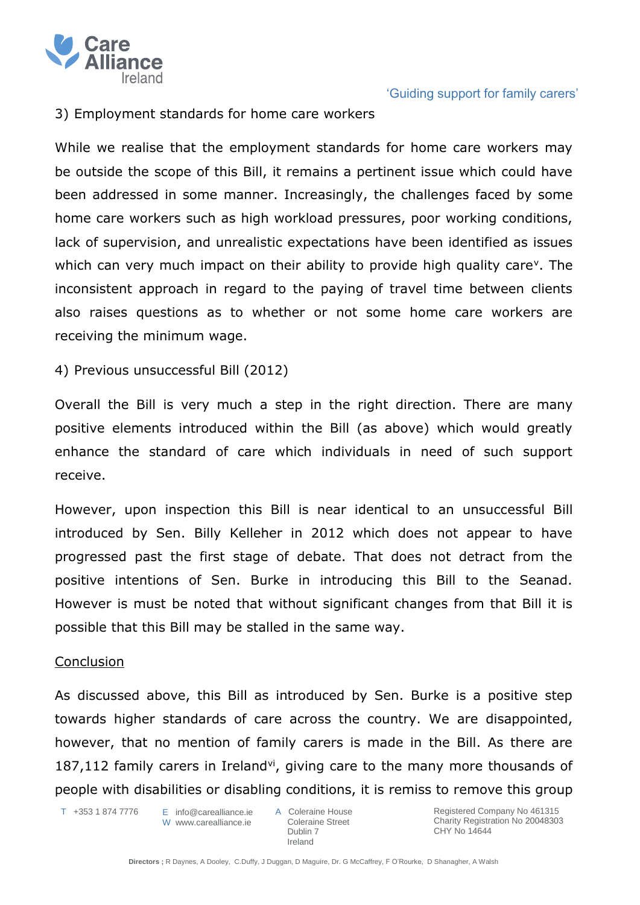

# 3) Employment standards for home care workers

While we realise that the employment standards for home care workers may be outside the scope of this Bill, it remains a pertinent issue which could have been addressed in some manner. Increasingly, the challenges faced by some home care workers such as high workload pressures, poor working conditions, lack of supervision, and unrealistic expectations have been identified as issues which can very much impact on their ability to provide high quality care<sup>v</sup>. The inconsistent approach in regard to the paying of travel time between clients also raises questions as to whether or not some home care workers are receiving the minimum wage.

4) Previous unsuccessful Bill (2012)

Overall the Bill is very much a step in the right direction. There are many positive elements introduced within the Bill (as above) which would greatly enhance the standard of care which individuals in need of such support receive.

However, upon inspection this Bill is near identical to an unsuccessful Bill introduced by Sen. Billy Kelleher in 2012 which does not appear to have progressed past the first stage of debate. That does not detract from the positive intentions of Sen. Burke in introducing this Bill to the Seanad. However is must be noted that without significant changes from that Bill it is possible that this Bill may be stalled in the same way.

## Conclusion

As discussed above, this Bill as introduced by Sen. Burke is a positive step towards higher standards of care across the country. We are disappointed, however, that no mention of family carers is made in the Bill. As there are 187,112 family carers in Ireland<sup>vi</sup>, giving care to the many more thousands of people with disabilities or disabling conditions, it is remiss to remove this group

T +353 1 874 7776

E info@carealliance.ie W www.carealliance.je

A Coleraine House Coleraine Street Dublin 7 Ireland